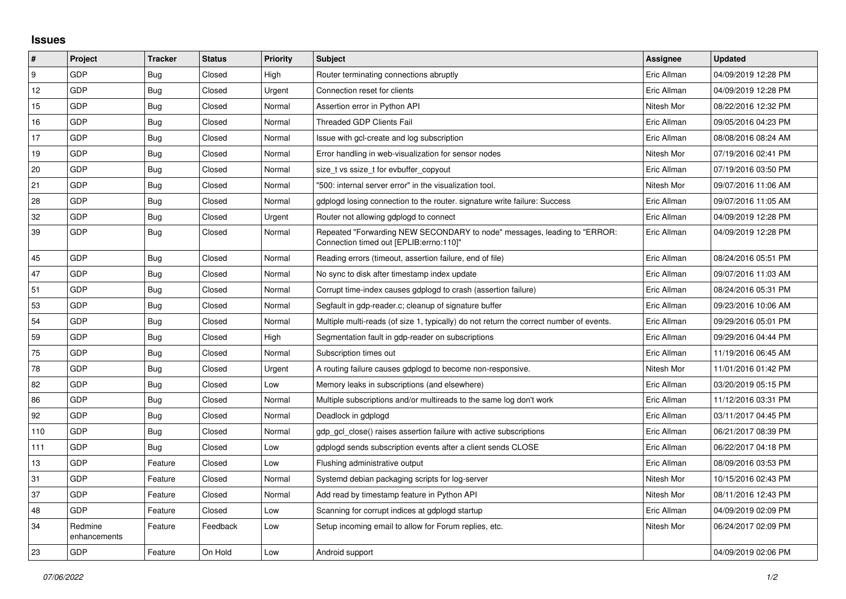## **Issues**

| #   | Project                 | <b>Tracker</b> | <b>Status</b> | Priority | <b>Subject</b>                                                                                                      | Assignee    | <b>Updated</b>      |
|-----|-------------------------|----------------|---------------|----------|---------------------------------------------------------------------------------------------------------------------|-------------|---------------------|
| l 9 | GDP                     | Bug            | Closed        | High     | Router terminating connections abruptly                                                                             | Eric Allman | 04/09/2019 12:28 PM |
| 12  | GDP                     | <b>Bug</b>     | Closed        | Urgent   | Connection reset for clients                                                                                        | Eric Allman | 04/09/2019 12:28 PM |
| 15  | GDP                     | Bug            | Closed        | Normal   | Assertion error in Python API                                                                                       | Nitesh Mor  | 08/22/2016 12:32 PM |
| 16  | GDP                     | Bug            | Closed        | Normal   | Threaded GDP Clients Fail                                                                                           | Eric Allman | 09/05/2016 04:23 PM |
| 17  | GDP                     | <b>Bug</b>     | Closed        | Normal   | Issue with gcl-create and log subscription                                                                          | Eric Allman | 08/08/2016 08:24 AM |
| 19  | GDP                     | Bug            | Closed        | Normal   | Error handling in web-visualization for sensor nodes                                                                | Nitesh Mor  | 07/19/2016 02:41 PM |
| 20  | GDP                     | Bug            | Closed        | Normal   | size tvs ssize t for evbuffer copyout                                                                               | Eric Allman | 07/19/2016 03:50 PM |
| 21  | GDP                     | <b>Bug</b>     | Closed        | Normal   | '500: internal server error" in the visualization tool.                                                             | Nitesh Mor  | 09/07/2016 11:06 AM |
| 28  | GDP                     | <b>Bug</b>     | Closed        | Normal   | gdplogd losing connection to the router, signature write failure: Success                                           | Eric Allman | 09/07/2016 11:05 AM |
| 32  | GDP                     | <b>Bug</b>     | Closed        | Urgent   | Router not allowing gdplogd to connect                                                                              | Eric Allman | 04/09/2019 12:28 PM |
| 39  | GDP                     | Bug            | Closed        | Normal   | Repeated "Forwarding NEW SECONDARY to node" messages, leading to "ERROR:<br>Connection timed out [EPLIB:errno:110]" | Eric Allman | 04/09/2019 12:28 PM |
| 45  | GDP                     | Bug            | Closed        | Normal   | Reading errors (timeout, assertion failure, end of file)                                                            | Eric Allman | 08/24/2016 05:51 PM |
| 47  | GDP                     | <b>Bug</b>     | Closed        | Normal   | No sync to disk after timestamp index update                                                                        | Eric Allman | 09/07/2016 11:03 AM |
| 51  | GDP                     | <b>Bug</b>     | Closed        | Normal   | Corrupt time-index causes gdplogd to crash (assertion failure)                                                      | Eric Allman | 08/24/2016 05:31 PM |
| 53  | GDP                     | Bug            | Closed        | Normal   | Segfault in gdp-reader.c; cleanup of signature buffer                                                               | Eric Allman | 09/23/2016 10:06 AM |
| 54  | GDP                     | <b>Bug</b>     | Closed        | Normal   | Multiple multi-reads (of size 1, typically) do not return the correct number of events.                             | Eric Allman | 09/29/2016 05:01 PM |
| 59  | GDP                     | <b>Bug</b>     | Closed        | High     | Segmentation fault in gdp-reader on subscriptions                                                                   | Eric Allman | 09/29/2016 04:44 PM |
| 75  | GDP                     | Bug            | Closed        | Normal   | Subscription times out                                                                                              | Eric Allman | 11/19/2016 06:45 AM |
| 78  | GDP                     | Bug            | Closed        | Urgent   | A routing failure causes gdplogd to become non-responsive.                                                          | Nitesh Mor  | 11/01/2016 01:42 PM |
| 82  | GDP                     | Bug            | Closed        | Low      | Memory leaks in subscriptions (and elsewhere)                                                                       | Eric Allman | 03/20/2019 05:15 PM |
| 86  | GDP                     | <b>Bug</b>     | Closed        | Normal   | Multiple subscriptions and/or multireads to the same log don't work                                                 | Eric Allman | 11/12/2016 03:31 PM |
| 92  | GDP                     | Bug            | Closed        | Normal   | Deadlock in gdplogd                                                                                                 | Eric Allman | 03/11/2017 04:45 PM |
| 110 | GDP                     | Bug            | Closed        | Normal   | gdp gcl close() raises assertion failure with active subscriptions                                                  | Eric Allman | 06/21/2017 08:39 PM |
| 111 | GDP                     | Bug            | Closed        | Low      | gdplogd sends subscription events after a client sends CLOSE                                                        | Eric Allman | 06/22/2017 04:18 PM |
| 13  | GDP                     | Feature        | Closed        | Low      | Flushing administrative output                                                                                      | Eric Allman | 08/09/2016 03:53 PM |
| 31  | GDP                     | Feature        | Closed        | Normal   | Systemd debian packaging scripts for log-server                                                                     | Nitesh Mor  | 10/15/2016 02:43 PM |
| 37  | GDP                     | Feature        | Closed        | Normal   | Add read by timestamp feature in Python API                                                                         | Nitesh Mor  | 08/11/2016 12:43 PM |
| 48  | GDP                     | Feature        | Closed        | Low      | Scanning for corrupt indices at gdplogd startup                                                                     | Eric Allman | 04/09/2019 02:09 PM |
| 34  | Redmine<br>enhancements | Feature        | Feedback      | Low      | Setup incoming email to allow for Forum replies, etc.                                                               | Nitesh Mor  | 06/24/2017 02:09 PM |
| 23  | GDP                     | Feature        | On Hold       | Low      | Android support                                                                                                     |             | 04/09/2019 02:06 PM |